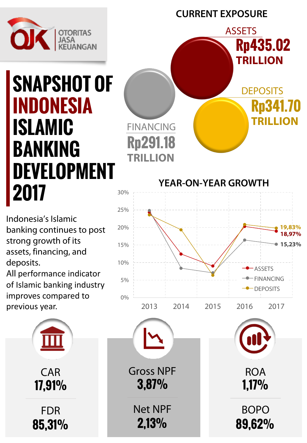

**CURRENT EXPOSURE**

**YEAR-ON-YEAR GROWTH**

**ASSETS** 

**DEPOSITS** 

**Rp341.70** 

**TRILLION**

**Rp435.02** 

**TRILLION**

### **SNAPSHOT OF INDONESIA ISLAMIC BANKING DEVELOPMENT 2017** 30%

Indonesia's Islamic banking continues to post strong growth of its assets, financing, and deposits.

All performance indicator of Islamic banking industry improves compared to previous year.



FINANCING

**Rp291.18**

**TRILLION**

**17,91% 85,31%** CAR FDR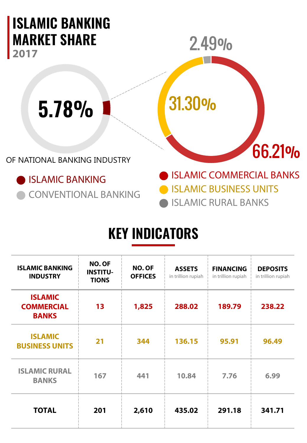

### **KEY INDICATORS**

| <b>ISLAMIC BANKING</b><br><b>INDUSTRY</b>           | NO. OF<br><b>INSTITU-</b><br><b>TIONS</b> | NO. OF<br><b>OFFICES</b> | <b>ASSETS</b><br>in trillion rupiah | <b>FINANCING</b><br>in trillion rupiah | <b>DEPOSITS</b><br>in trillion rupiah |
|-----------------------------------------------------|-------------------------------------------|--------------------------|-------------------------------------|----------------------------------------|---------------------------------------|
| <b>ISLAMIC</b><br><b>COMMERCIAL</b><br><b>BANKS</b> | 13                                        | 1,825                    | 288.02                              | 189.79                                 | 238.22                                |
| <b>ISLAMIC</b><br><b>BUSINESS UNITS</b>             | 21                                        | 344                      | 136.15                              | 95.91                                  | 96.49                                 |
| <b>ISLAMIC RURAL</b><br><b>BANKS</b>                | 167                                       | 441                      | 10.84                               | 7.76                                   | 6.99                                  |
| <b>TOTAL</b>                                        | 201                                       | 2,610                    | 435.02                              | 291.18                                 | 341.71                                |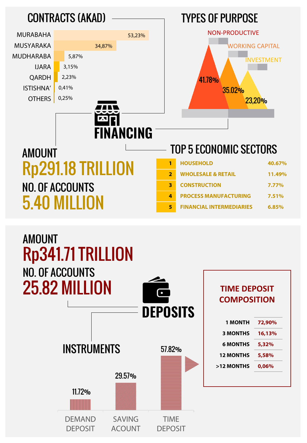

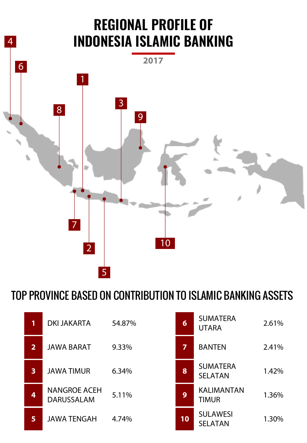

### TOP PROVINCE BASED ON CONTRIBUTION TO ISLAMIC BANKING ASSETS

| 1                       | <b>DKI JAKARTA</b>                       | 54.87% | $6\phantom{1}$ | <b>SUMATERA</b><br><b>UTARA</b>   | 2.61% |
|-------------------------|------------------------------------------|--------|----------------|-----------------------------------|-------|
| 2                       | <b>JAWA BARAT</b>                        | 9.33%  | 7              | <b>BANTEN</b>                     | 2.41% |
| $\overline{\mathbf{3}}$ | <b>JAWA TIMUR</b>                        | 6.34%  | 8              | <b>SUMATERA</b><br><b>SELATAN</b> | 1.42% |
| 4                       | <b>NANGROE ACEH</b><br><b>DARUSSALAM</b> | 5.11%  | 9              | <b>KALIMANTAN</b><br><b>TIMUR</b> | 1.36% |
| 5                       | <b>JAWA TENGAH</b>                       | 4.74%  | 10             | <b>SULAWESI</b><br><b>SELATAN</b> | 1.30% |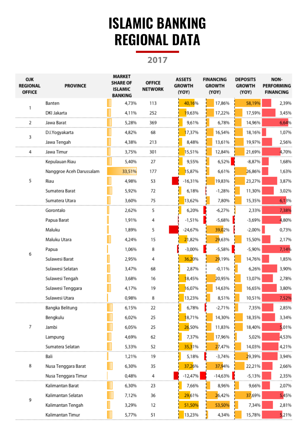### **ISLAMIC BANKING REGIONAL DATA**

**2017**

| <b>OJK</b><br><b>REGIONAL</b><br><b>OFFICE</b> | <b>PROVINCE</b>          | MARKET<br><b>SHARE OF</b><br><b>ISLAMIC</b><br><b>BANKING</b> | <b>OFFICE</b><br><b>NETWORK</b> | <b>ASSETS</b><br><b>GROWTH</b><br>(YOY) | <b>FINANCING</b><br><b>GROWTH</b><br>(YOY) | <b>DEPOSITS</b><br><b>GROWTH</b><br>(YOY) | NON-<br><b>PERFORMING</b><br><b>FINANCING</b> |
|------------------------------------------------|--------------------------|---------------------------------------------------------------|---------------------------------|-----------------------------------------|--------------------------------------------|-------------------------------------------|-----------------------------------------------|
|                                                | Banten                   | 4,73%                                                         | 113                             | 40,16%                                  | 17,86%                                     | 58,19%                                    | 2,39%                                         |
|                                                | DKI Jakarta              | 4,11%                                                         | 252                             | 19,63%                                  | 17,22%                                     | 17,59%                                    | 3,45%                                         |
| 2                                              | Jawa Barat               | 5,28%                                                         | 369                             | 9,61%                                   | 6,78%                                      | 14,96%                                    | 6,64%                                         |
| 3                                              | D.I.Yogyakarta           | 4,82%                                                         | 68                              | 17,37%                                  | 16,54%                                     | 18,16%                                    | 1,07%                                         |
|                                                | Jawa Tengah              | 4,38%                                                         | 213                             | 8,48%                                   | 13,61%                                     | 19,97%                                    | 2,56%                                         |
| 4                                              | Jawa Timur               | 3,75%                                                         | 301                             | 15,51%                                  | 12,84%                                     | 21,69%                                    | 4,70%                                         |
|                                                | Kepulauan Riau           | 5,40%                                                         | 27                              | 9,55%                                   | 6,52%                                      | $-8,87%$                                  | 1,68%                                         |
|                                                | Nanggroe Aceh Darussalam | 33,51%                                                        | 177                             | 15,87%                                  | 6,61%                                      | 26,86%                                    | 1,63%                                         |
| 5                                              | Riau                     | 4,98%                                                         | 53                              | $-16,31%$                               | 19,83%                                     | 23,27%                                    | 3,87%                                         |
|                                                | Sumatera Barat           | 5,92%                                                         | 72                              | 6,18%                                   | $-1,28%$                                   | 11,30%                                    | 3,02%                                         |
|                                                | Sumatera Utara           | 3,60%                                                         | 75                              | 13,62%                                  | 7,80%                                      | 15,35%                                    | 6,13%                                         |
|                                                | Gorontalo                | 2,62%                                                         | 5                               | 6,20%                                   | $-6,27%$                                   | 2,33%                                     | 7,38%                                         |
|                                                | Papua Barat              | 1,91%                                                         | 4                               | $-1,51%$                                | $-5,68%$                                   | $-3,69%$                                  | 4,80%                                         |
|                                                | Maluku                   | 1,89%                                                         | 5                               | $-24,67%$                               | 39,02%                                     | $-2,00%$                                  | 0,73%                                         |
|                                                | Maluku Utara             | 4,24%                                                         | 15                              | 21,82%                                  | 29,63%                                     | 15,50%                                    | 2,17%                                         |
| 6                                              | Papua                    | 1,06%                                                         | 8                               | $-3,00%$                                | $-5,58%$                                   | $-5,90%$                                  | 7,14%                                         |
|                                                | Sulawesi Barat           | 2,95%                                                         | 4                               | 36,20%                                  | 29,19%                                     | 14,76%                                    | 1,85%                                         |
|                                                | Sulawesi Selatan         | 3,47%                                                         | 68                              | 2,87%                                   | $-0.11%$                                   | 6,26%                                     | 3,90%                                         |
|                                                | Sulawesi Tengah          | 3,68%                                                         | 16                              | 18,45%                                  | 20,95%                                     | 13,07%                                    | 2,78%                                         |
|                                                | Sulawesi Tenggara        | 4,17%                                                         | 19                              | 16,07%                                  | 14,63%                                     | 16,65%                                    | 3,80%                                         |
|                                                | Sulawesi Utara           | 0,98%                                                         | 8                               | 13,23%                                  | 8,51%                                      | 10,51%                                    | 7,52%                                         |
|                                                | Bangka Belitung          | 6,15%                                                         | 22                              | 6,78%                                   | $-2,71%$                                   | 7,35%                                     | 2,85%                                         |
|                                                | Bengkulu                 | 6,02%                                                         | 25                              | 18,71%                                  | 14,30%                                     | 18,35%                                    | 3,34%                                         |
| 7                                              | Jambi                    | 6,05%                                                         | 25                              | 26,50%                                  | 11,83%                                     | 18,40%                                    | 5,01%                                         |
|                                                | Lampung                  | 4,69%                                                         | 62                              | 7,37%                                   | 17,96%                                     | 5,02%                                     | 4,53%                                         |
|                                                | Sumatera Selatan         | 5,33%                                                         | 52                              | 35,31%                                  | 27,47%                                     | 14,03%                                    | 4,21%                                         |
|                                                | Bali                     | 1,21%                                                         | 19                              | 5,18%                                   | $-3,74%$                                   | 29,39%                                    | 3,94%                                         |
| 8                                              | Nusa Tenggara Barat      | 6,30%                                                         | 35                              | 37,26%                                  | 37,94%                                     | 22,21%                                    | 2,66%                                         |
|                                                | Nusa Tenggara Timur      | 0,48%                                                         | 4                               | $-12,47%$                               | $-14,63%$                                  | $-5,13%$                                  | 2,35%                                         |
|                                                | Kalimantan Barat         | 6,30%                                                         | 23                              | 7,66%                                   | 8,96%                                      | 9,66%                                     | 2,07%                                         |
| 9                                              | Kalimantan Selatan       | 7,12%                                                         | 36                              | 29,61%                                  | 26,42%                                     | 37,69%                                    | 5,45%                                         |
|                                                | Kalimantan Tengah        | 3,29%                                                         | 12                              | 51,50%                                  | 53,50%                                     | 7,34%                                     | 2,81%                                         |
|                                                | Kalimantan Timur         | 5,77%                                                         | 51                              | 13,23%                                  | 4,34%                                      | 15,78%                                    | 5,21%                                         |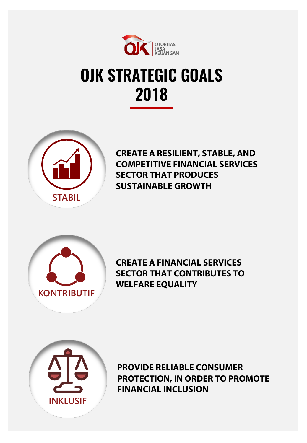

## **OJK STRATEGIC GOALS 2018**



**CREATE A RESILIENT, STABLE, AND COMPETITIVE FINANCIAL SERVICES SECTOR THAT PRODUCES SUSTAINABLE GROWTH**



**CREATE A FINANCIAL SERVICES SECTOR THAT CONTRIBUTES TO WELFARE EQUALITY** 



**PROVIDE RELIABLE CONSUMER PROTECTION, IN ORDER TO PROMOTE FINANCIAL INCLUSION**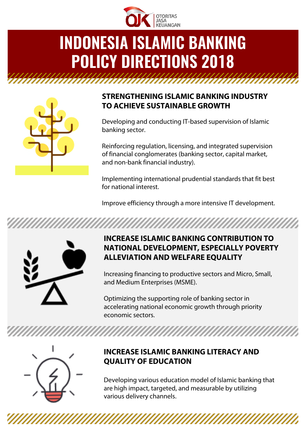

# **INDONESIA ISLAMIC BANKING POLICY DIRECTIONS 2018**



#### **STRENGTHENING ISLAMIC BANKING INDUSTRY TO ACHIEVE SUSTAINABLE GROWTH**

Developing and conducting IT-based supervision of Islamic banking sector.

Reinforcing regulation, licensing, and integrated supervision of financial conglomerates (banking sector, capital market, and non-bank financial industry).

Implementing international prudential standards that fit best for national interest.

Improve efficiency through a more intensive IT development.

*MAANAMAAAAAAAAAA* 



#### **INCREASE ISLAMIC BANKING CONTRIBUTION TO NATIONAL DEVELOPMENT, ESPECIALLY POVERTY ALLEVIATION AND WELFARE EQUALITY**

Increasing financing to productive sectors and Micro, Small, and Medium Enterprises (MSME).

Optimizing the supporting role of banking sector in accelerating national economic growth through priority economic sectors.



#### **INCREASE ISLAMIC BANKING LITERACY AND QUALITY OF EDUCATION**

Developing various education model of Islamic banking that are high impact, targeted, and measurable by utilizing various delivery channels.